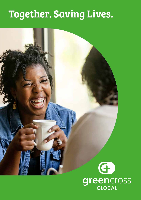## **Together. Saving Lives.**

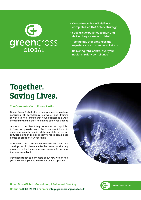# G **green**Cross

- Consultancy that will deliver a complete Health & Safety strategy
- Specialist experience to plan and deliver the process and detail
- Technology that enhances the experience and awareness of status
- Delivering total control over your Health & Safety compliance

### **Together. Saving Lives.**

#### **The Complete Compliance Platform**

Green Cross Global offer a comprehensive platform consisting of consultancy, software, and training services to help ensure that your business is always compliant with the latest health and safety regulations.

Our team of Health & Safety consultants and qualified trainers can provide customised solutions, tailored to meet your specific needs, whilst our state-of-the-art software platform makes it easy to track compliance across all areas of your operation.

In addition, our consultancy services can help you develop and implement effective health and safety protocols that will keep your employees safe and your business compliant.

Contact us today to learn more about how we can help you ensure compliance in all areas of your operation.



**Green Cross Global - Consultancy** | **Software** | **Training** Call us on **0330 120 0105** or email **info@greencrossglobal.co.uk**

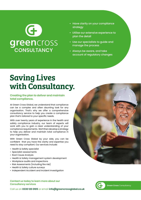# $\left($ G **green**Cross

- Have clarity on your compliance **strategy**
- Utilise our extensive experience to plan the detail
- Use our specialists to guide and manage the process
- Always be aware, and take account of regulatory changes

## **Saving Lives with Consultancy.**

#### **Creating the plan to deliver and maintain total compliance.**

At Green Cross Global, we understand that compliance can be a complex and often daunting task for any organisation. That's why we offer a comprehensive consultancy service to help you create a compliance plan that's tailored to your specific needs.

With over twenty years of experience in the health and safety compliance industry, our team of experts will work with you to gain a clear understanding of your compliance requirements. We'll then develop a strategy to help you deliver and maintain total compliance in your organisation.

With Green Cross Global by your side, you can be confident that you have the clarity and expertise you need to stay compliant. Our services include:

- Health & Safety specialist
- Specialist assessments
- Root Cause Analysis
- Health & Safety management system development
- Workplace audits and inspections
- Risk Assessments (including fire risk)
- Health & Safety culture surveys
- Independent Accident and Incident Investigation

#### **Contact us today to learn more about our Consultancy services**

Call us on **0330 120 0105** or email **info@greencrossglobal.co.uk**



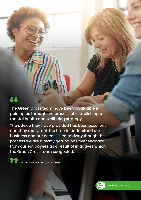### 44

The Green Cross team have been invaluable in guiding us through the process of establishing a mental health and wellbeing strategy.

The advice they have provided has been excellent and they really took the time to understand our business and our needs. Even midway though the process we are already getting positive feedback from our employees as a result of initiatives which the Green Cross team suggested.

Duncan Gray - HR Manager at NeoGen

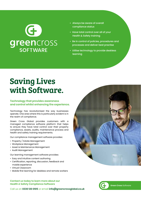# $\left($ G **green**Cross

- Always be aware of overall compliance status
- Have total control over all of your Health & Safety training
- Be in control of policies, procedures and processes and deliver best practise
- Utilise technology to provide deskless learning

## **Saving Lives with Software.**

#### **Technology that provides awareness and control whilst enhancing the experience.**

Technology has revolutionised the way businesses operate. One area where this is particularly evident is in the realm of compliance.

Green Cross Global provides customers with a managed compliance software platform that helps to ensure they have total control over their property compliance, assets, audits, maintenance process and health and safety training requirements.

Our compliance management software provides:

- Property / Estate Management
- Workplace Management
- Asset & Maintenance Management
- Audit Management

Our learning management software provides:

- Easy and intuitive content authoring
- Certification, reporting, discussion, feedback and mobile experience
- Virtual Classroom
- Mobile first learning for deskless and remote workers

#### **Contact us today to learn more about our Health & Safety Compliance Software**

Call us on **0330 120 0105** or email **info@greencrossglobal.co.uk**



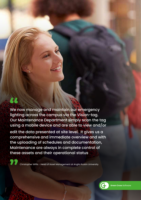We now manage and maintain our emergency lighting across the campus via the Vision-tag. Our Maintenance Department simply scan the tag using a mobile device and are able to view and/or edit the data presented at site level. It gives us a comprehensive and immediate overview and with the uploading of schedules and documentation, Maintenance are always in complete control of these assets and their operational status

44

Christopher Willis - Head of Asset Management at Anglia Ruskin University

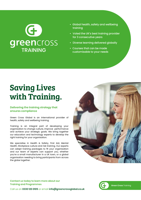# G **green**Cross

- Global health, safety and wellbeing training
- Voted the UK's best training provider for 3 consecutive years
- Diverse learning delivered globally
- Courses that can be made customisable to your needs

## **Saving Lives with Training.**

### **Delivering the training strategy that ensures compliance**

Green Cross Global is an international provider of health, safety and wellbeing training.

Training is an integral part of developing your organisation to change culture, improve performance and achieve your strategic goals. We bring together our education and technology experts to develop the right training for your organisation.

We specialise in Health & Safety, First Aid, Mental Health, Workplace culture and risk training. Our experts can adapt training packages to fit your organisation and our team of experts can support you, whether you're a small manufacturer in a UK town, or a global organisation needing to bring participants from across the globe together.



**Contact us today to learn more about our Training and Programmes**



Call us on **0330 120 0105** or email **info@greencrossglobal.co.uk**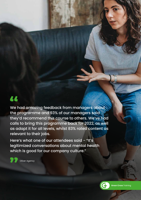### 44

We had amazing feedback from managers about the programme and 93% of our managers said they'd recommend this course to others. We've had calls to bring this programme back for 2022, as well as adapt it for all levels, whilst 83% rated content as relevant to their jobs.

Here's what one of our attendees said - "It's legitimized conversations about mental health which is good for our company culture."

Oliver Agency



**Green Cross** Training